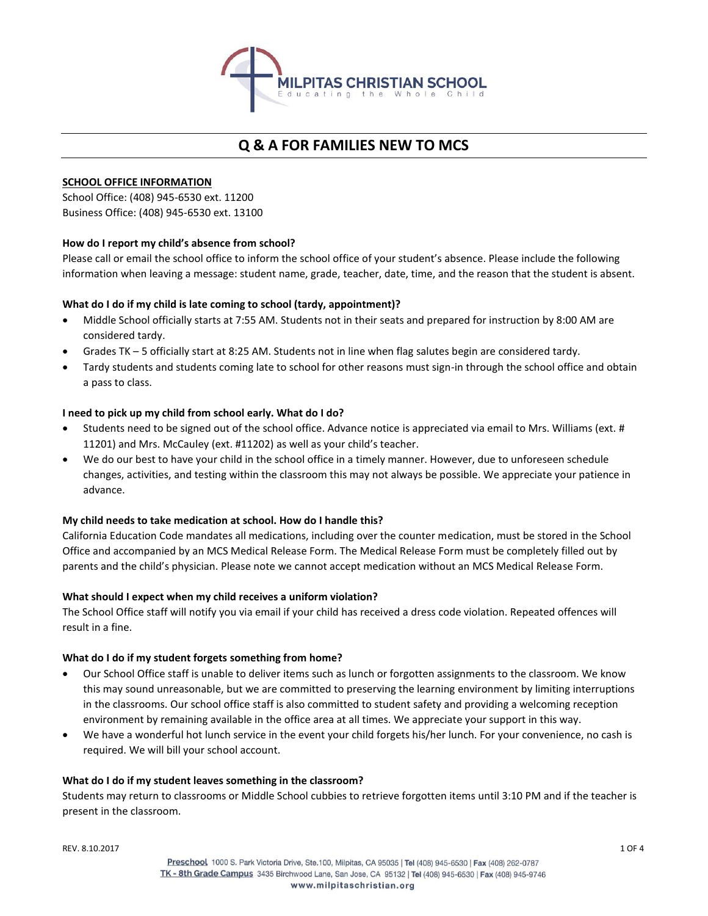

# **Q & A FOR FAMILIES NEW TO MCS**

# **SCHOOL OFFICE INFORMATION**

School Office: (408) 945-6530 ext. 11200 Business Office: (408) 945-6530 ext. 13100

# **How do I report my child's absence from school?**

Please call or email the school office to inform the school office of your student's absence. Please include the following information when leaving a message: student name, grade, teacher, date, time, and the reason that the student is absent.

# **What do I do if my child is late coming to school (tardy, appointment)?**

- Middle School officially starts at 7:55 AM. Students not in their seats and prepared for instruction by 8:00 AM are considered tardy.
- Grades TK 5 officially start at 8:25 AM. Students not in line when flag salutes begin are considered tardy.
- Tardy students and students coming late to school for other reasons must sign-in through the school office and obtain a pass to class.

## **I need to pick up my child from school early. What do I do?**

- Students need to be signed out of the school office. Advance notice is appreciated via email to Mrs. Williams (ext. # 11201) and Mrs. McCauley (ext. #11202) as well as your child's teacher.
- We do our best to have your child in the school office in a timely manner. However, due to unforeseen schedule changes, activities, and testing within the classroom this may not always be possible. We appreciate your patience in advance.

### **My child needs to take medication at school. How do I handle this?**

California Education Code mandates all medications, including over the counter medication, must be stored in the School Office and accompanied by an MCS Medical Release Form. The Medical Release Form must be completely filled out by parents and the child's physician. Please note we cannot accept medication without an MCS Medical Release Form.

### **What should I expect when my child receives a uniform violation?**

The School Office staff will notify you via email if your child has received a dress code violation. Repeated offences will result in a fine.

# **What do I do if my student forgets something from home?**

- Our School Office staff is unable to deliver items such as lunch or forgotten assignments to the classroom. We know this may sound unreasonable, but we are committed to preserving the learning environment by limiting interruptions in the classrooms. Our school office staff is also committed to student safety and providing a welcoming reception environment by remaining available in the office area at all times. We appreciate your support in this way.
- We have a wonderful hot lunch service in the event your child forgets his/her lunch. For your convenience, no cash is required. We will bill your school account.

### **What do I do if my student leaves something in the classroom?**

Students may return to classrooms or Middle School cubbies to retrieve forgotten items until 3:10 PM and if the teacher is present in the classroom.

REV. 8.10.2017 1 OF 4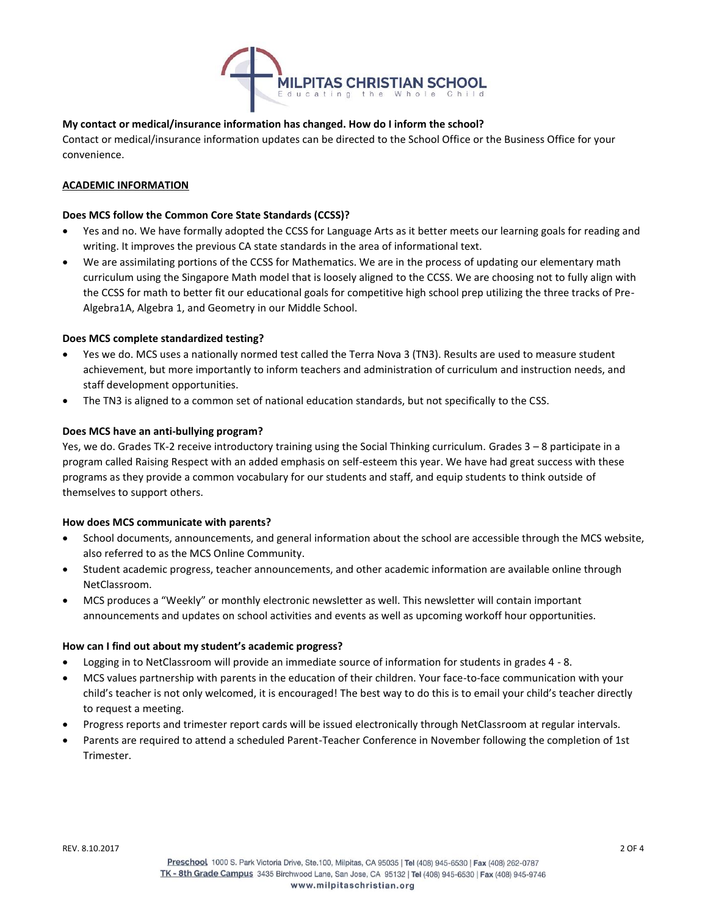

# **My contact or medical/insurance information has changed. How do I inform the school?**

Contact or medical/insurance information updates can be directed to the School Office or the Business Office for your convenience.

## **ACADEMIC INFORMATION**

### **Does MCS follow the Common Core State Standards (CCSS)?**

- Yes and no. We have formally adopted the CCSS for Language Arts as it better meets our learning goals for reading and writing. It improves the previous CA state standards in the area of informational text.
- We are assimilating portions of the CCSS for Mathematics. We are in the process of updating our elementary math curriculum using the Singapore Math model that is loosely aligned to the CCSS. We are choosing not to fully align with the CCSS for math to better fit our educational goals for competitive high school prep utilizing the three tracks of Pre-Algebra1A, Algebra 1, and Geometry in our Middle School.

### **Does MCS complete standardized testing?**

- Yes we do. MCS uses a nationally normed test called the Terra Nova 3 (TN3). Results are used to measure student achievement, but more importantly to inform teachers and administration of curriculum and instruction needs, and staff development opportunities.
- The TN3 is aligned to a common set of national education standards, but not specifically to the CSS.

## **Does MCS have an anti-bullying program?**

Yes, we do. Grades TK-2 receive introductory training using the Social Thinking curriculum. Grades 3 – 8 participate in a program called Raising Respect with an added emphasis on self-esteem this year. We have had great success with these programs as they provide a common vocabulary for our students and staff, and equip students to think outside of themselves to support others.

### **How does MCS communicate with parents?**

- School documents, announcements, and general information about the school are accessible through the MCS website, also referred to as the MCS Online Community.
- Student academic progress, teacher announcements, and other academic information are available online through NetClassroom.
- MCS produces a "Weekly" or monthly electronic newsletter as well. This newsletter will contain important announcements and updates on school activities and events as well as upcoming workoff hour opportunities.

### **How can I find out about my student's academic progress?**

- Logging in to NetClassroom will provide an immediate source of information for students in grades 4 8.
- MCS values partnership with parents in the education of their children. Your face-to-face communication with your child's teacher is not only welcomed, it is encouraged! The best way to do this is to email your child's teacher directly to request a meeting.
- Progress reports and trimester report cards will be issued electronically through NetClassroom at regular intervals.
- Parents are required to attend a scheduled Parent-Teacher Conference in November following the completion of 1st **Trimester**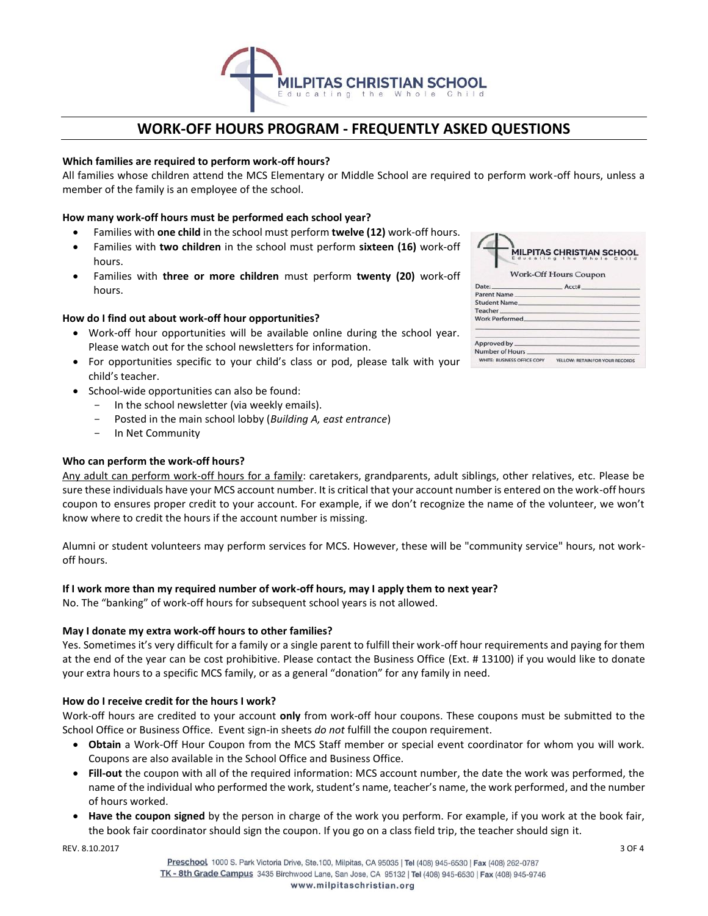

# **WORK-OFF HOURS PROGRAM - FREQUENTLY ASKED QUESTIONS**

## **Which families are required to perform work-off hours?**

All families whose children attend the MCS Elementary or Middle School are required to perform work-off hours, unless a member of the family is an employee of the school.

## **How many work-off hours must be performed each school year?**

- Families with **one child** in the school must perform **twelve (12)** work-off hours.
- Families with **two children** in the school must perform **sixteen (16)** work-off hours.
- Families with **three or more children** must perform **twenty (20)** work-off hours.

## **How do I find out about work-off hour opportunities?**

- Work-off hour opportunities will be available online during the school year. Please watch out for the school newsletters for information.
- For opportunities specific to your child's class or pod, please talk with your child's teacher.
- School-wide opportunities can also be found:
	- In the school newsletter (via weekly emails).
	- Posted in the main school lobby (*Building A, east entrance*)
	- In Net Community

### **Who can perform the work-off hours?**

Any adult can perform work-off hours for a family: caretakers, grandparents, adult siblings, other relatives, etc. Please be sure these individuals have your MCS account number. It is critical that your account number is entered on the work-off hours coupon to ensures proper credit to your account. For example, if we don't recognize the name of the volunteer, we won't know where to credit the hours if the account number is missing.

Alumni or student volunteers may perform services for MCS. However, these will be "community service" hours, not workoff hours.

### **If I work more than my required number of work-off hours, may I apply them to next year?**

No. The "banking" of work-off hours for subsequent school years is not allowed.

### **May I donate my extra work-off hours to other families?**

Yes. Sometimes it's very difficult for a family or a single parent to fulfill their work-off hour requirements and paying for them at the end of the year can be cost prohibitive. Please contact the Business Office (Ext. # 13100) if you would like to donate your extra hours to a specific MCS family, or as a general "donation" for any family in need.

### **How do I receive credit for the hours I work?**

Work-off hours are credited to your account **only** from work-off hour coupons. These coupons must be submitted to the School Office or Business Office. Event sign-in sheets *do not* fulfill the coupon requirement.

- **Obtain** a Work-Off Hour Coupon from the MCS Staff member or special event coordinator for whom you will work. Coupons are also available in the School Office and Business Office.
- **Fill-out** the coupon with all of the required information: MCS account number, the date the work was performed, the name of the individual who performed the work, student's name, teacher's name, the work performed, and the number of hours worked.
- **Have the coupon signed** by the person in charge of the work you perform. For example, if you work at the book fair, the book fair coordinator should sign the coupon. If you go on a class field trip, the teacher should sign it.

REV. 8.10.2017 3 OF 4

| <b>MILPITAS CHRISTIAN SCHOOL</b><br>Educating the Whole Child |                                 |  |
|---------------------------------------------------------------|---------------------------------|--|
| <b>Work-Off Hours Coupon</b>                                  |                                 |  |
|                                                               | Date: Acct#                     |  |
|                                                               | Parent Name                     |  |
|                                                               | Student Name                    |  |
|                                                               |                                 |  |
|                                                               |                                 |  |
|                                                               |                                 |  |
| Number of Hours                                               |                                 |  |
| WHITE: BUSINESS OFFICE COPY                                   | YELLOW: RETAIN FOR YOUR RECORDS |  |

 $\triangle$